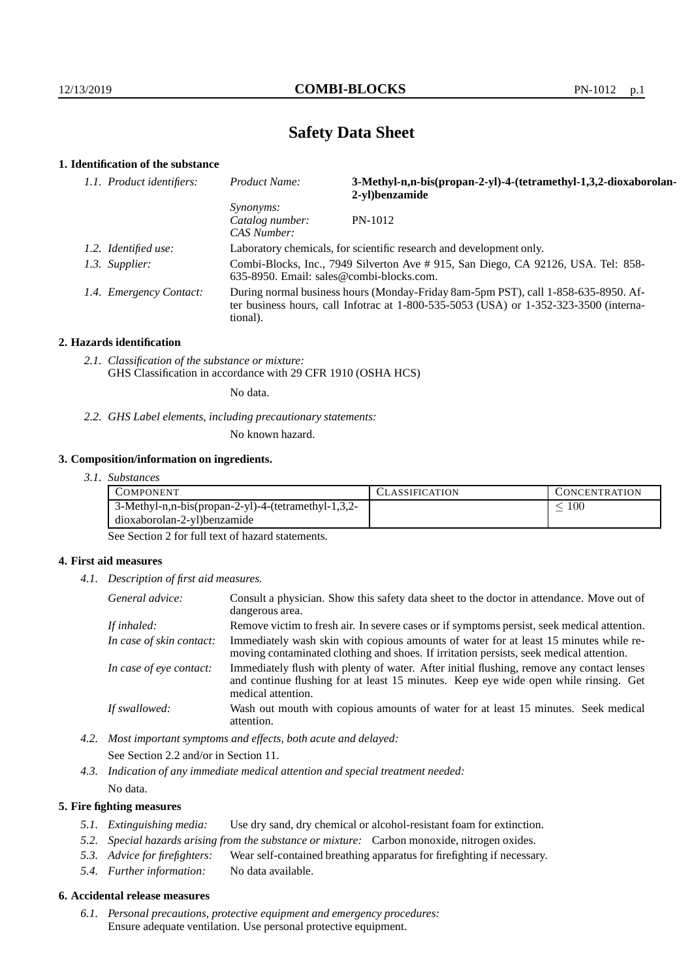# **Safety Data Sheet**

## **1. Identification of the substance**

| 1.1. Product identifiers: | Product Name:                                                                                                                                                                           | 3-Methyl-n,n-bis(propan-2-yl)-4-(tetramethyl-1,3,2-dioxaborolan-<br>2-yl)benzamide |
|---------------------------|-----------------------------------------------------------------------------------------------------------------------------------------------------------------------------------------|------------------------------------------------------------------------------------|
|                           | <i>Synonyms:</i><br>Catalog number:<br>CAS Number:                                                                                                                                      | PN-1012                                                                            |
| 1.2. Identified use:      | Laboratory chemicals, for scientific research and development only.                                                                                                                     |                                                                                    |
| 1.3. Supplier:            | Combi-Blocks, Inc., 7949 Silverton Ave # 915, San Diego, CA 92126, USA. Tel: 858-<br>$635-8950$ . Email: sales@combi-blocks.com.                                                        |                                                                                    |
| 1.4. Emergency Contact:   | During normal business hours (Monday-Friday 8am-5pm PST), call 1-858-635-8950. Af-<br>ter business hours, call Infotrac at 1-800-535-5053 (USA) or 1-352-323-3500 (interna-<br>tional). |                                                                                    |

### **2. Hazards identification**

*2.1. Classification of the substance or mixture:* GHS Classification in accordance with 29 CFR 1910 (OSHA HCS)

No data.

*2.2. GHS Label elements, including precautionary statements:*

No known hazard.

### **3. Composition/information on ingredients.**

| 3. I.<br><i>Substances</i> |  |
|----------------------------|--|
|----------------------------|--|

| COMPONENT                                           | 'LASSIFICATION | L'ONCENTR ATION |
|-----------------------------------------------------|----------------|-----------------|
| 3-Methyl-n,n-bis(propan-2-yl)-4-(tetramethyl-1,3,2- |                | 100             |
| dioxaborolan-2-yl)benzamide                         |                |                 |

See Section 2 for full text of hazard statements.

## **4. First aid measures**

*4.1. Description of first aid measures.*

| General advice:          | Consult a physician. Show this safety data sheet to the doctor in attendance. Move out of<br>dangerous area.                                                                                            |
|--------------------------|---------------------------------------------------------------------------------------------------------------------------------------------------------------------------------------------------------|
| If inhaled:              | Remove victim to fresh air. In severe cases or if symptoms persist, seek medical attention.                                                                                                             |
| In case of skin contact: | Immediately wash skin with copious amounts of water for at least 15 minutes while re-<br>moving contaminated clothing and shoes. If irritation persists, seek medical attention.                        |
| In case of eye contact:  | Immediately flush with plenty of water. After initial flushing, remove any contact lenses<br>and continue flushing for at least 15 minutes. Keep eye wide open while rinsing. Get<br>medical attention. |
| If swallowed:            | Wash out mouth with copious amounts of water for at least 15 minutes. Seek medical<br>attention.                                                                                                        |

*4.2. Most important symptoms and effects, both acute and delayed:* See Section 2.2 and/or in Section 11.

*4.3. Indication of any immediate medical attention and special treatment needed:* No data.

## **5. Fire fighting measures**

- *5.1. Extinguishing media:* Use dry sand, dry chemical or alcohol-resistant foam for extinction.
- *5.2. Special hazards arising from the substance or mixture:* Carbon monoxide, nitrogen oxides.
- *5.3. Advice for firefighters:* Wear self-contained breathing apparatus for firefighting if necessary.
- *5.4. Further information:* No data available.

## **6. Accidental release measures**

*6.1. Personal precautions, protective equipment and emergency procedures:* Ensure adequate ventilation. Use personal protective equipment.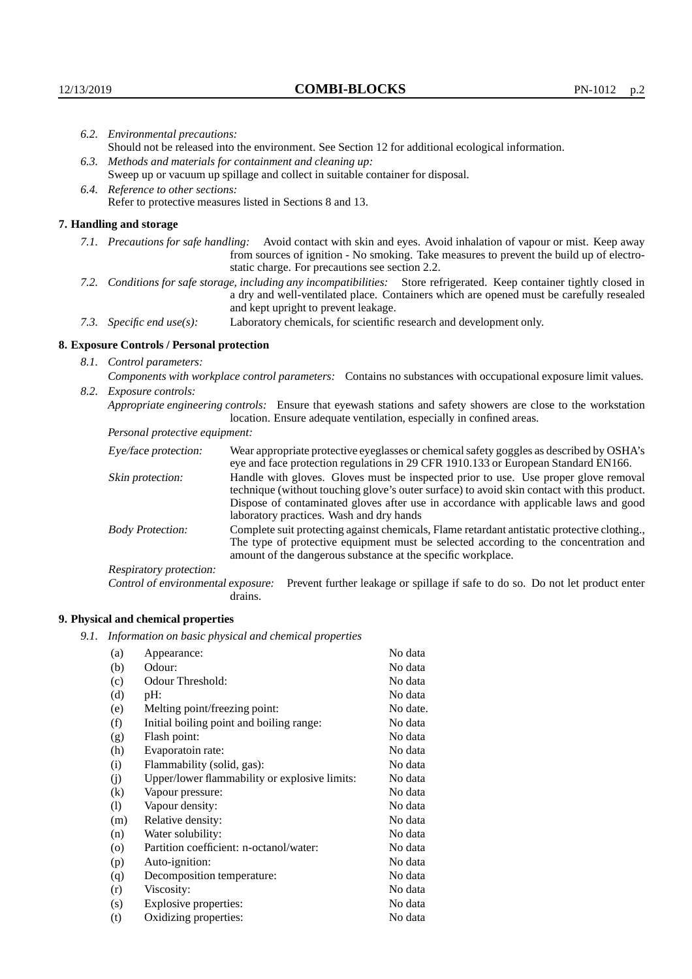| 6.2. Environmental precautions:                                                                                                                                                                                                                            |                                                                                                                                                                                                                                                                    |  |
|------------------------------------------------------------------------------------------------------------------------------------------------------------------------------------------------------------------------------------------------------------|--------------------------------------------------------------------------------------------------------------------------------------------------------------------------------------------------------------------------------------------------------------------|--|
| Should not be released into the environment. See Section 12 for additional ecological information.                                                                                                                                                         |                                                                                                                                                                                                                                                                    |  |
|                                                                                                                                                                                                                                                            | 6.3. Methods and materials for containment and cleaning up:                                                                                                                                                                                                        |  |
|                                                                                                                                                                                                                                                            | Sweep up or vacuum up spillage and collect in suitable container for disposal.                                                                                                                                                                                     |  |
| 6.4. Reference to other sections:                                                                                                                                                                                                                          |                                                                                                                                                                                                                                                                    |  |
|                                                                                                                                                                                                                                                            | Refer to protective measures listed in Sections 8 and 13.                                                                                                                                                                                                          |  |
| 7. Handling and storage                                                                                                                                                                                                                                    |                                                                                                                                                                                                                                                                    |  |
|                                                                                                                                                                                                                                                            | 7.1. Precautions for safe handling: Avoid contact with skin and eyes. Avoid inhalation of vapour or mist. Keep away<br>from sources of ignition - No smoking. Take measures to prevent the build up of electro-<br>static charge. For precautions see section 2.2. |  |
| 7.2. Conditions for safe storage, including any incompatibilities: Store refrigerated. Keep container tightly closed in<br>a dry and well-ventilated place. Containers which are opened must be carefully resealed<br>and kept upright to prevent leakage. |                                                                                                                                                                                                                                                                    |  |
| 7.3. Specific end use(s):                                                                                                                                                                                                                                  | Laboratory chemicals, for scientific research and development only.                                                                                                                                                                                                |  |
| 8. Exposure Controls / Personal protection                                                                                                                                                                                                                 |                                                                                                                                                                                                                                                                    |  |
| 8.1. Control parameters:                                                                                                                                                                                                                                   |                                                                                                                                                                                                                                                                    |  |
| Components with workplace control parameters: Contains no substances with occupational exposure limit values.                                                                                                                                              |                                                                                                                                                                                                                                                                    |  |
| 8.2. Exposure controls:                                                                                                                                                                                                                                    |                                                                                                                                                                                                                                                                    |  |
|                                                                                                                                                                                                                                                            | Appropriate engineering controls: Ensure that eyewash stations and safety showers are close to the workstation<br>location. Ensure adequate ventilation, especially in confined areas.                                                                             |  |
| Personal protective equipment:                                                                                                                                                                                                                             |                                                                                                                                                                                                                                                                    |  |
| Eye/face protection:                                                                                                                                                                                                                                       | Wear appropriate protective eyeglasses or chemical safety goggles as described by OSHA's<br>eye and face protection regulations in 29 CFR 1910.133 or European Standard EN166.                                                                                     |  |
| Skin protection:                                                                                                                                                                                                                                           | Handle with gloves. Gloves must be inspected prior to use. Use proper glove removal<br>technique (without touching glove's outer surface) to avoid skin contact with this product.                                                                                 |  |

## **8. Exposure Controls / Personal protection**

| Eye/face protection:               | Wear appropriate protective eyeglasses or chemical safety goggles as described by OSHA's<br>eye and face protection regulations in 29 CFR 1910.133 or European Standard EN166.                                                                                                                                         |  |  |
|------------------------------------|------------------------------------------------------------------------------------------------------------------------------------------------------------------------------------------------------------------------------------------------------------------------------------------------------------------------|--|--|
| Skin protection:                   | Handle with gloves. Gloves must be inspected prior to use. Use proper glove removal<br>technique (without touching glove's outer surface) to avoid skin contact with this product.<br>Dispose of contaminated gloves after use in accordance with applicable laws and good<br>laboratory practices. Wash and dry hands |  |  |
| <b>Body Protection:</b>            | Complete suit protecting against chemicals, Flame retardant antistatic protective clothing.<br>The type of protective equipment must be selected according to the concentration and<br>amount of the dangerous substance at the specific workplace.                                                                    |  |  |
| Respiratory protection:            |                                                                                                                                                                                                                                                                                                                        |  |  |
| Control of environmental exposure: | Prevent further leakage or spillage if safe to do so. Do not let product enter<br>drains.                                                                                                                                                                                                                              |  |  |

## **9. Physical and chemical properties**

*9.1. Information on basic physical and chemical properties*

| (a)                | Appearance:                                   | No data  |
|--------------------|-----------------------------------------------|----------|
| (b)                | Odour:                                        | No data  |
| (c)                | Odour Threshold:                              | No data  |
| (d)                | pH:                                           | No data  |
| (e)                | Melting point/freezing point:                 | No date. |
| (f)                | Initial boiling point and boiling range:      | No data  |
| (g)                | Flash point:                                  | No data  |
| (h)                | Evaporatoin rate:                             | No data  |
| (i)                | Flammability (solid, gas):                    | No data  |
| (j)                | Upper/lower flammability or explosive limits: | No data  |
| $\rm(k)$           | Vapour pressure:                              | No data  |
| (1)                | Vapour density:                               | No data  |
| (m)                | Relative density:                             | No data  |
| (n)                | Water solubility:                             | No data  |
| $\left( 0 \right)$ | Partition coefficient: n-octanol/water:       | No data  |
| (p)                | Auto-ignition:                                | No data  |
| (q)                | Decomposition temperature:                    | No data  |
| (r)                | Viscosity:                                    | No data  |
| (s)                | Explosive properties:                         | No data  |
| (t)                | Oxidizing properties:                         | No data  |